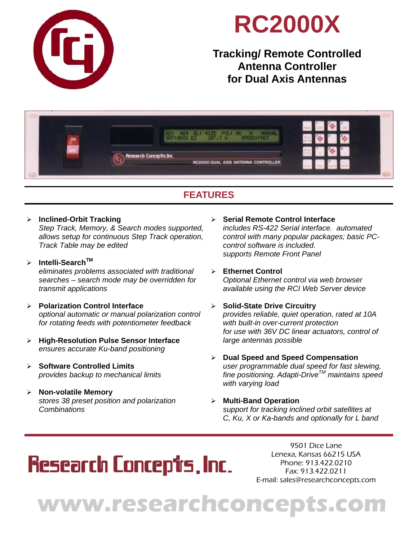

## **RC2000X**

### **Tracking/ Remote Controlled Antenna Controller for Dual Axis Antennas**



### **FEATURES**

### **Inclined-Orbit Tracking**

*Step Track, Memory, & Search modes supported, allows setup for continuous Step Track operation, Track Table may be edited*

- **Intelli-SearchTM** *eliminates problems associated with traditional searches – search mode may be overridden for transmit applications*
- **Polarization Control Interface**  *optional automatic or manual polarization control for rotating feeds with potentiometer feedback*
- **High-Resolution Pulse Sensor Interface**  *ensures accurate Ku-band positioning*
- **Software Controlled Limits**  *provides backup to mechanical limits*
- **Non-volatile Memory**  *stores 38 preset position and polarization Combinations*
- **Serial Remote Control Interface**  *includes RS-422 Serial interface. automated control with many popular packages; basic PC control software is included. supports Remote Front Panel*
- **Ethernet Control**  *Optional Ethernet control via web browser available using the RCI Web Server device*
- **Solid-State Drive Circuitry**  *provides reliable, quiet operation, rated at 10A with built-in over-current protection for use with 36V DC linear actuators, control of large antennas possible*
- **Dual Speed and Speed Compensation**  *user programmable dual speed for fast slewing, fine positioning. Adapti-DriveTM maintains speed with varying load*
- **Multi-Band Operation**  *support for tracking inclined orbit satellites at C, Ku, X or Ka-bands and optionally for L band*

# **Research Concept's, Inc.**

9501 Dice Lane Lenexa, Kansas 66215 USA Phone: 913.422.0210 Fax: 913.422.0211 E-mail: sales@researchconcepts.com

# **www.researchconcepts.com**